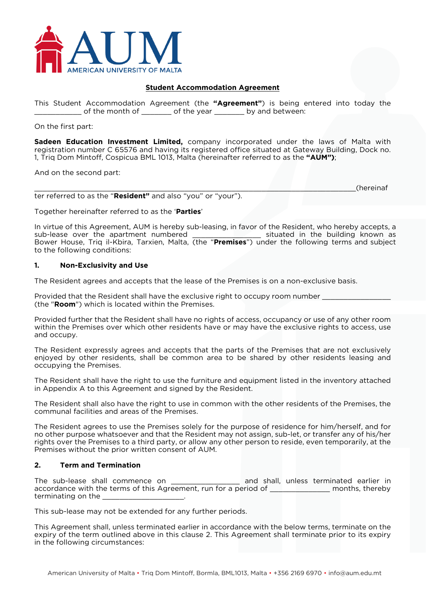

#### **Student Accommodation Agreement**

This Student Accommodation Agreement (the **"Agreement"**) is being entered into today the \_\_\_\_\_\_\_\_\_\_\_ of the month of \_\_\_\_\_\_\_ of the year \_\_\_\_\_\_\_ by and between:

On the first part:

**Sadeen Education Investment Limited,** company incorporated under the laws of Malta with registration number C 65576 and having its registered office situated at Gateway Building, Dock no. 1, Triq Dom Mintoff, Cospicua BML 1013, Malta (hereinafter referred to as the **"AUM")**;

And on the second part:

\_\_\_\_\_\_\_\_\_\_\_\_\_\_\_\_\_\_\_\_\_\_\_\_\_\_\_\_\_\_\_\_\_\_\_\_\_\_\_\_\_\_\_\_\_\_\_\_\_\_\_\_\_\_\_\_\_\_\_\_\_\_\_\_\_\_\_\_\_\_\_\_\_\_\_(hereinaf ter referred to as the "**Resident"** and also "you" or "your").

Together hereinafter referred to as the '**Parties**'

In virtue of this Agreement, AUM is hereby sub-leasing, in favor of the Resident, who hereby accepts, a sub-lease over the apartment numbered \_\_\_\_\_\_\_\_\_\_\_\_\_\_\_\_ situated in the building known as Bower House, Triq il-Kbira, Tarxien, Malta, (the "**Premises**") under the following terms and subject to the following conditions:

#### **1. Non-Exclusivity and Use**

The Resident agrees and accepts that the lease of the Premises is on a non-exclusive basis.

Provided that the Resident shall have the exclusive right to occupy room number (the "**Room**") which is located within the Premises.

Provided further that the Resident shall have no rights of access, occupancy or use of any other room within the Premises over which other residents have or may have the exclusive rights to access, use and occupy.

The Resident expressly agrees and accepts that the parts of the Premises that are not exclusively enjoyed by other residents, shall be common area to be shared by other residents leasing and occupying the Premises.

The Resident shall have the right to use the furniture and equipment listed in the inventory attached in Appendix A to this Agreement and signed by the Resident.

The Resident shall also have the right to use in common with the other residents of the Premises, the communal facilities and areas of the Premises.

The Resident agrees to use the Premises solely for the purpose of residence for him/herself, and for no other purpose whatsoever and that the Resident may not assign, sub-let, or transfer any of his/her rights over the Premises to a third party, or allow any other person to reside, even temporarily, at the Premises without the prior written consent of AUM.

### **2. Term and Termination**

The sub-lease shall commence on \_\_\_\_\_\_\_\_\_\_\_\_\_\_\_\_\_\_\_\_ and shall, unless terminated earlier in accordance with the terms of this Agreement, run for a period of \_\_\_\_\_\_\_\_\_\_\_\_\_\_\_ months, thereby terminating on the

This sub-lease may not be extended for any further periods.

This Agreement shall, unless terminated earlier in accordance with the below terms, terminate on the expiry of the term outlined above in this clause 2. This Agreement shall terminate prior to its expiry in the following circumstances: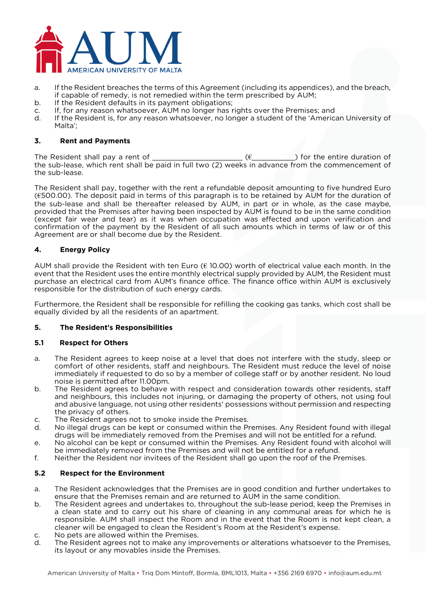

- a. If the Resident breaches the terms of this Agreement (including its appendices), and the breach, if capable of remedy, is not remedied within the term prescribed by AUM;
- b. If the Resident defaults in its payment obligations;
- c. If, for any reason whatsoever, AUM no longer has rights over the Premises; and
- d. If the Resident is, for any reason whatsoever, no longer a student of the 'American University of Malta';

## **3. Rent and Payments**

The Resident shall pay a rent of  $(6)$  ( $\epsilon$  ) for the entire duration of the sub-lease, which rent shall be paid in full two (2) weeks in advance from the commencement of the sub-lease.

The Resident shall pay, together with the rent a refundable deposit amounting to five hundred Euro (€500.00). The deposit paid in terms of this paragraph is to be retained by AUM for the duration of the sub-lease and shall be thereafter released by AUM, in part or in whole, as the case maybe, provided that the Premises after having been inspected by AUM is found to be in the same condition (except fair wear and tear) as it was when occupation was effected and upon verification and confirmation of the payment by the Resident of all such amounts which in terms of law or of this Agreement are or shall become due by the Resident.

# **4. Energy Policy**

AUM shall provide the Resident with ten Euro ( $\epsilon$  10.00) worth of electrical value each month. In the event that the Resident uses the entire monthly electrical supply provided by AUM, the Resident must purchase an electrical card from AUM's finance office. The finance office within AUM is exclusively responsible for the distribution of such energy cards.

Furthermore, the Resident shall be responsible for refilling the cooking gas tanks, which cost shall be equally divided by all the residents of an apartment.

### **5. The Resident's Responsibilities**

### **5.1 Respect for Others**

- a. The Resident agrees to keep noise at a level that does not interfere with the study, sleep or comfort of other residents, staff and neighbours. The Resident must reduce the level of noise immediately if requested to do so by a member of college staff or by another resident. No loud noise is permitted after 11.00pm.
- b. The Resident agrees to behave with respect and consideration towards other residents, staff and neighbours, this includes not injuring, or damaging the property of others, not using foul and abusive language, not using other residents' possessions without permission and respecting the privacy of others.
- c. The Resident agrees not to smoke inside the Premises.
- d. No illegal drugs can be kept or consumed within the Premises. Any Resident found with illegal drugs will be immediately removed from the Premises and will not be entitled for a refund.
- e. No alcohol can be kept or consumed within the Premises. Any Resident found with alcohol will be immediately removed from the Premises and will not be entitled for a refund.
- f. Neither the Resident nor invitees of the Resident shall go upon the roof of the Premises.

### **5.2 Respect for the Environment**

- a. The Resident acknowledges that the Premises are in good condition and further undertakes to ensure that the Premises remain and are returned to AUM in the same condition.
- b. The Resident agrees and undertakes to, throughout the sub-lease period, keep the Premises in a clean state and to carry out his share of cleaning in any communal areas for which he is responsible. AUM shall inspect the Room and in the event that the Room is not kept clean, a cleaner will be engaged to clean the Resident's Room at the Resident's expense.
- c. No pets are allowed within the Premises.
- d. The Resident agrees not to make any improvements or alterations whatsoever to the Premises, its layout or any movables inside the Premises.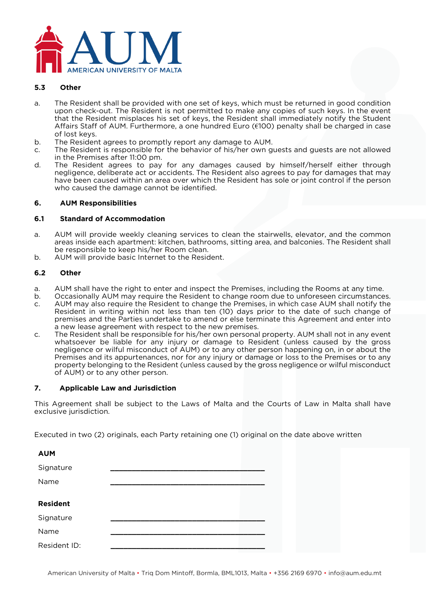

#### **5.3 Other**

- a. The Resident shall be provided with one set of keys, which must be returned in good condition upon check-out. The Resident is not permitted to make any copies of such keys. In the event that the Resident misplaces his set of keys, the Resident shall immediately notify the Student Affairs Staff of AUM. Furthermore, a one hundred Euro (€100) penalty shall be charged in case of lost keys.
- b. The Resident agrees to promptly report any damage to AUM.
- c. The Resident is responsible for the behavior of his/her own guests and guests are not allowed in the Premises after 11:00 pm.
- d. The Resident agrees to pay for any damages caused by himself/herself either through negligence, deliberate act or accidents. The Resident also agrees to pay for damages that may have been caused within an area over which the Resident has sole or joint control if the person who caused the damage cannot be identified.

#### **6. AUM Responsibilities**

#### **6.1 Standard of Accommodation**

- a. AUM will provide weekly cleaning services to clean the stairwells, elevator, and the common areas inside each apartment: kitchen, bathrooms, sitting area, and balconies. The Resident shall be responsible to keep his/her Room clean.
- b. AUM will provide basic Internet to the Resident.

#### **6.2 Other**

- a. AUM shall have the right to enter and inspect the Premises, including the Rooms at any time.
- b. Occasionally AUM may require the Resident to change room due to unforeseen circumstances.
- c. AUM may also require the Resident to change the Premises, in which case AUM shall notify the Resident in writing within not less than ten (10) days prior to the date of such change of premises and the Parties undertake to amend or else terminate this Agreement and enter into a new lease agreement with respect to the new premises.
- c. The Resident shall be responsible for his/her own personal property. AUM shall not in any event whatsoever be liable for any injury or damage to Resident (unless caused by the gross negligence or wilful misconduct of AUM) or to any other person happening on, in or about the Premises and its appurtenances, nor for any injury or damage or loss to the Premises or to any property belonging to the Resident (unless caused by the gross negligence or wilful misconduct of AUM) or to any other person.

### **7. Applicable Law and Jurisdiction**

This Agreement shall be subject to the Laws of Malta and the Courts of Law in Malta shall have exclusive jurisdiction.

Executed in two (2) originals, each Party retaining one (1) original on the date above written

| <b>AUM</b>      |  |
|-----------------|--|
| Signature       |  |
| Name            |  |
|                 |  |
| <b>Resident</b> |  |
| Signature       |  |
| Name            |  |
| Resident ID:    |  |